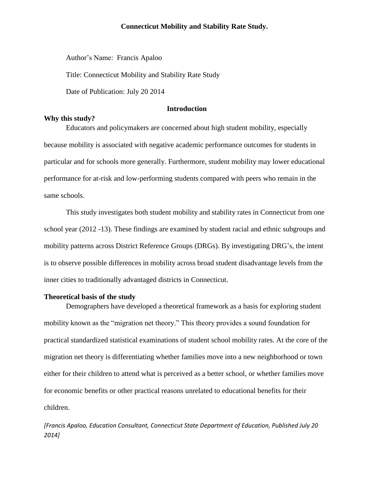Author's Name: Francis Apaloo

Title: Connecticut Mobility and Stability Rate Study

Date of Publication: July 20 2014

### **Introduction**

#### **Why this study?**

Educators and policymakers are concerned about high student mobility, especially because mobility is associated with negative academic performance outcomes for students in particular and for schools more generally. Furthermore, student mobility may lower educational performance for at-risk and low-performing students compared with peers who remain in the same schools.

This study investigates both student mobility and stability rates in Connecticut from one school year (2012 -13). These findings are examined by student racial and ethnic subgroups and mobility patterns across District Reference Groups (DRGs). By investigating DRG's, the intent is to observe possible differences in mobility across broad student disadvantage levels from the inner cities to traditionally advantaged districts in Connecticut.

## **Theoretical basis of the study**

Demographers have developed a theoretical framework as a basis for exploring student mobility known as the "migration net theory." This theory provides a sound foundation for practical standardized statistical examinations of student school mobility rates. At the core of the migration net theory is differentiating whether families move into a new neighborhood or town either for their children to attend what is perceived as a better school, or whether families move for economic benefits or other practical reasons unrelated to educational benefits for their children.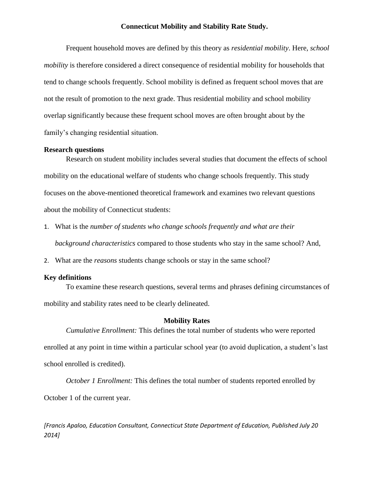Frequent household moves are defined by this theory as *residential mobility*. Here, *school mobility* is therefore considered a direct consequence of residential mobility for households that tend to change schools frequently. School mobility is defined as frequent school moves that are not the result of promotion to the next grade. Thus residential mobility and school mobility overlap significantly because these frequent school moves are often brought about by the family's changing residential situation.

#### **Research questions**

Research on student mobility includes several studies that document the effects of school mobility on the educational welfare of students who change schools frequently. This study focuses on the above-mentioned theoretical framework and examines two relevant questions about the mobility of Connecticut students:

- 1. What is the *number of students who change schools frequently and what are their background characteristics* compared to those students who stay in the same school? And,
- 2. What are the *reasons* students change schools or stay in the same school?

## **Key definitions**

To examine these research questions, several terms and phrases defining circumstances of mobility and stability rates need to be clearly delineated.

## **Mobility Rates**

*Cumulative Enrollment:* This defines the total number of students who were reported enrolled at any point in time within a particular school year (to avoid duplication, a student's last school enrolled is credited).

*October 1 Enrollment:* This defines the total number of students reported enrolled by October 1 of the current year.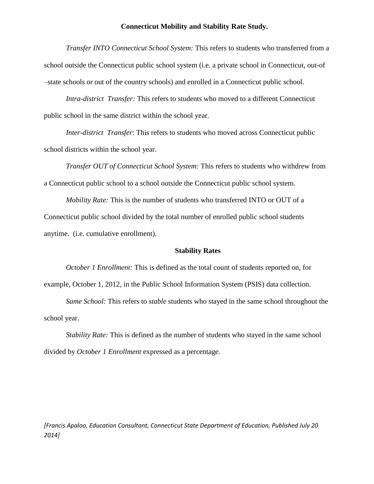*Transfer INTO Connecticut School System:* This refers to students who transferred from a school outside the Connecticut public school system (i.e. a private school in Connecticut, out-of –state schools or out of the country schools) and enrolled in a Connecticut public school.

*Intra-district Transfer:* This refers to students who moved to a different Connecticut public school in the same district within the school year.

*Inter-district Transfer*: This refers to students who moved across Connecticut public school districts within the school year.

*Transfer OUT of Connecticut School System:* This refers to students who withdrew from a Connecticut public school to a school outside the Connecticut public school system.

*Mobility Rate:* This is the number of students who transferred INTO or OUT of a Connecticut public school divided by the total number of enrolled public school students anytime. (i.e. cumulative enrollment).

#### **Stability Rates**

*October 1 Enrollment:* This is defined as the total count of students reported on, for example, October 1, 2012, in the Public School Information System (PSIS) data collection.

*Same School:* This refers to *stable* students who stayed in the same school throughout the school year.

*Stability Rate:* This is defined as the number of students who stayed in the same school divided by *October 1 Enrollment* expressed as a percentage.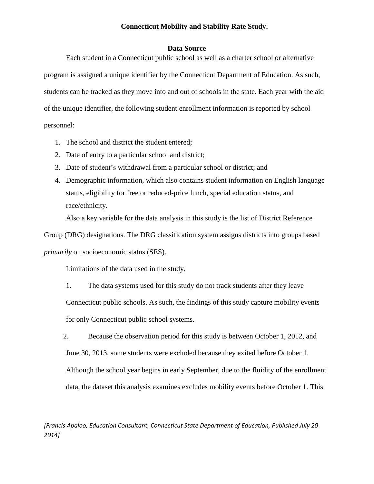#### **Data Source**

Each student in a Connecticut public school as well as a charter school or alternative program is assigned a unique identifier by the Connecticut Department of Education. As such, students can be tracked as they move into and out of schools in the state. Each year with the aid of the unique identifier, the following student enrollment information is reported by school personnel:

- 1. The school and district the student entered;
- 2. Date of entry to a particular school and district;
- 3. Date of student's withdrawal from a particular school or district; and
- 4. Demographic information, which also contains student information on English language status, eligibility for free or reduced-price lunch, special education status, and race/ethnicity.

Also a key variable for the data analysis in this study is the list of District Reference

Group (DRG) designations. The DRG classification system assigns districts into groups based *primarily* on socioeconomic status (SES).

Limitations of the data used in the study.

1. The data systems used for this study do not track students after they leave Connecticut public schools. As such, the findings of this study capture mobility events for only Connecticut public school systems.

2. Because the observation period for this study is between October 1, 2012, and June 30, 2013, some students were excluded because they exited before October 1. Although the school year begins in early September, due to the fluidity of the enrollment data, the dataset this analysis examines excludes mobility events before October 1. This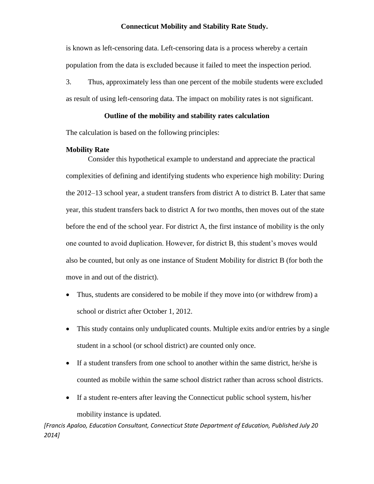is known as left-censoring data. Left-censoring data is a process whereby a certain population from the data is excluded because it failed to meet the inspection period.

3. Thus, approximately less than one percent of the mobile students were excluded as result of using left-censoring data. The impact on mobility rates is not significant.

## **Outline of the mobility and stability rates calculation**

The calculation is based on the following principles:

## **Mobility Rate**

Consider this hypothetical example to understand and appreciate the practical complexities of defining and identifying students who experience high mobility: During the 2012–13 school year, a student transfers from district A to district B. Later that same year, this student transfers back to district A for two months, then moves out of the state before the end of the school year. For district A, the first instance of mobility is the only one counted to avoid duplication. However, for district B, this student's moves would also be counted, but only as one instance of Student Mobility for district B (for both the move in and out of the district).

- Thus, students are considered to be mobile if they move into (or withdrew from) a school or district after October 1, 2012.
- This study contains only unduplicated counts. Multiple exits and/or entries by a single student in a school (or school district) are counted only once.
- If a student transfers from one school to another within the same district, he/she is counted as mobile within the same school district rather than across school districts.
- If a student re-enters after leaving the Connecticut public school system, his/her

mobility instance is updated.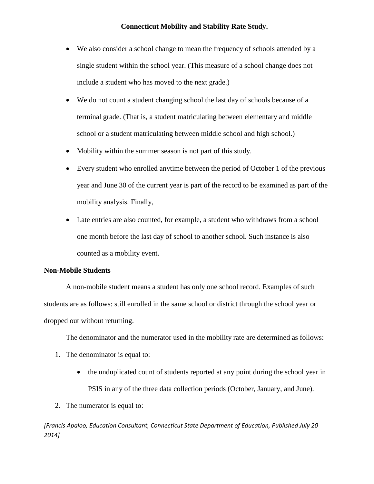- We also consider a school change to mean the frequency of schools attended by a single student within the school year. (This measure of a school change does not include a student who has moved to the next grade.)
- We do not count a student changing school the last day of schools because of a terminal grade. (That is, a student matriculating between elementary and middle school or a student matriculating between middle school and high school.)
- Mobility within the summer season is not part of this study.
- Every student who enrolled anytime between the period of October 1 of the previous year and June 30 of the current year is part of the record to be examined as part of the mobility analysis. Finally,
- Late entries are also counted, for example, a student who withdraws from a school one month before the last day of school to another school. Such instance is also counted as a mobility event.

## **Non-Mobile Students**

A non-mobile student means a student has only one school record. Examples of such students are as follows: still enrolled in the same school or district through the school year or dropped out without returning.

The denominator and the numerator used in the mobility rate are determined as follows:

- 1. The denominator is equal to:
	- the unduplicated count of students reported at any point during the school year in PSIS in any of the three data collection periods (October, January, and June).
- 2. The numerator is equal to: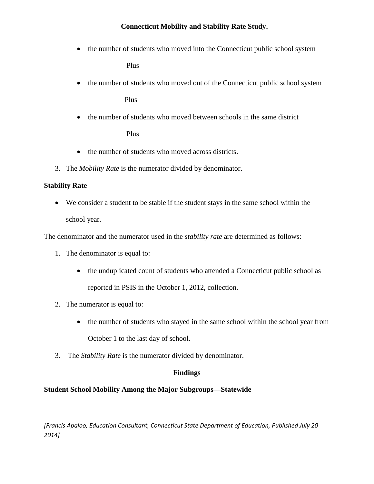• the number of students who moved into the Connecticut public school system

Plus

the number of students who moved out of the Connecticut public school system

Plus

• the number of students who moved between schools in the same district

Plus

- the number of students who moved across districts.
- 3. The *Mobility Rate* is the numerator divided by denominator.

## **Stability Rate**

 We consider a student to be stable if the student stays in the same school within the school year.

The denominator and the numerator used in the *stability rate* are determined as follows:

- 1. The denominator is equal to:
	- the unduplicated count of students who attended a Connecticut public school as reported in PSIS in the October 1, 2012, collection.
- 2. The numerator is equal to:
	- the number of students who stayed in the same school within the school year from October 1 to the last day of school.
- 3. The *Stability Rate* is the numerator divided by denominator.

# **Findings**

# **Student School Mobility Among the Major Subgroups—Statewide**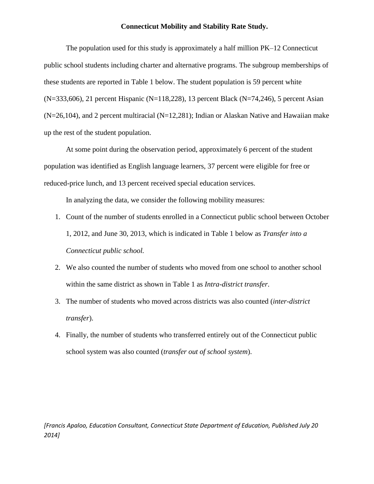The population used for this study is approximately a half million PK–12 Connecticut public school students including charter and alternative programs. The subgroup memberships of these students are reported in Table 1 below. The student population is 59 percent white  $(N=333,606)$ , 21 percent Hispanic (N=118,228), 13 percent Black (N=74,246), 5 percent Asian  $(N=26,104)$ , and 2 percent multiracial  $(N=12,281)$ ; Indian or Alaskan Native and Hawaiian make up the rest of the student population.

At some point during the observation period, approximately 6 percent of the student population was identified as English language learners, 37 percent were eligible for free or reduced-price lunch, and 13 percent received special education services.

In analyzing the data, we consider the following mobility measures:

- 1. Count of the number of students enrolled in a Connecticut public school between October 1, 2012, and June 30, 2013, which is indicated in Table 1 below as *Transfer into a Connecticut public school.*
- 2. We also counted the number of students who moved from one school to another school within the same district as shown in Table 1 as *Intra-district transfer*.
- 3. The number of students who moved across districts was also counted (*inter-district transfer*).
- 4. Finally, the number of students who transferred entirely out of the Connecticut public school system was also counted (*transfer out of school system*).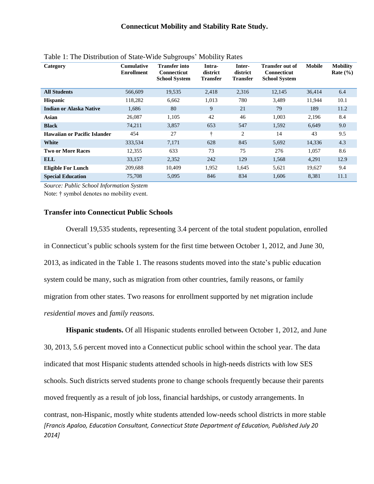| Category                            | <b>Cumulative</b><br><b>Enrollment</b> | <b>Transfer into</b><br><b>Connecticut</b><br><b>School System</b> | Intra-<br>district<br><b>Transfer</b> | Inter-<br>district<br><b>Transfer</b> | <b>Transfer out of</b><br><b>Connecticut</b><br><b>School System</b> | <b>Mobile</b> | <b>Mobility</b><br>Rate $(\% )$ |
|-------------------------------------|----------------------------------------|--------------------------------------------------------------------|---------------------------------------|---------------------------------------|----------------------------------------------------------------------|---------------|---------------------------------|
| <b>All Students</b>                 | 566,609                                | 19,535                                                             | 2,418                                 | 2,316                                 | 12,145                                                               | 36,414        | 6.4                             |
| <b>Hispanic</b>                     | 118,282                                | 6,662                                                              | 1,013                                 | 780                                   | 3,489                                                                | 11,944        | 10.1                            |
| <b>Indian or Alaska Native</b>      | 1,686                                  | 80                                                                 | 9                                     | 21                                    | 79                                                                   | 189           | 11.2                            |
| Asian                               | 26,087                                 | 1,105                                                              | 42                                    | 46                                    | 1,003                                                                | 2,196         | 8.4                             |
| <b>Black</b>                        | 74,211                                 | 3,857                                                              | 653                                   | 547                                   | 1,592                                                                | 6,649         | 9.0                             |
| <b>Hawaiian or Pacific Islander</b> | 454                                    | 27                                                                 | ÷                                     | 2                                     | 14                                                                   | 43            | 9.5                             |
| White                               | 333,534                                | 7,171                                                              | 628                                   | 845                                   | 5,692                                                                | 14,336        | 4.3                             |
| <b>Two or More Races</b>            | 12,355                                 | 633                                                                | 73                                    | 75                                    | 276                                                                  | 1,057         | 8.6                             |
| <b>ELL</b>                          | 33,157                                 | 2,352                                                              | 242                                   | 129                                   | 1,568                                                                | 4,291         | 12.9                            |
| <b>Eligible For Lunch</b>           | 209,688                                | 10,409                                                             | 1,952                                 | 1,645                                 | 5,621                                                                | 19,627        | 9.4                             |
| <b>Special Education</b>            | 75,708                                 | 5,095                                                              | 846                                   | 834                                   | 1,606                                                                | 8,381         | 11.1                            |

*Source: Public School Information System*

Note: † symbol denotes no mobility event.

### **Transfer into Connecticut Public Schools**

Overall 19,535 students, representing 3.4 percent of the total student population, enrolled in Connecticut's public schools system for the first time between October 1, 2012, and June 30, 2013, as indicated in the Table 1. The reasons students moved into the state's public education system could be many, such as migration from other countries, family reasons, or family migration from other states. Two reasons for enrollment supported by net migration include *residential moves* and *family reasons.*

*[Francis Apaloo, Education Consultant, Connecticut State Department of Education, Published July 20 2014]* **Hispanic students.** Of all Hispanic students enrolled between October 1, 2012, and June 30, 2013, 5.6 percent moved into a Connecticut public school within the school year. The data indicated that most Hispanic students attended schools in high-needs districts with low SES schools. Such districts served students prone to change schools frequently because their parents moved frequently as a result of job loss, financial hardships, or custody arrangements. In contrast, non-Hispanic, mostly white students attended low-needs school districts in more stable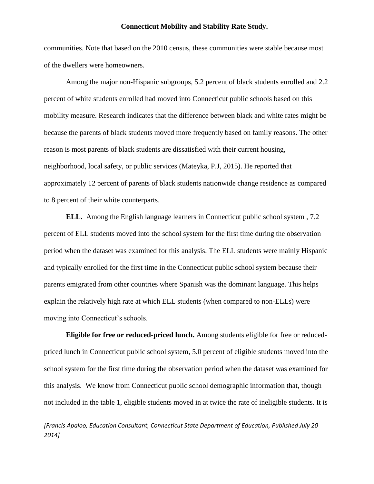communities. Note that based on the 2010 census, these communities were stable because most of the dwellers were homeowners.

Among the major non-Hispanic subgroups, 5.2 percent of black students enrolled and 2.2 percent of white students enrolled had moved into Connecticut public schools based on this mobility measure. Research indicates that the difference between black and white rates might be because the parents of black students moved more frequently based on family reasons. The other reason is most parents of black students are dissatisfied with their current housing, neighborhood, local safety, or public services (Mateyka, P.J, 2015). He reported that approximately 12 percent of parents of black students nationwide change residence as compared to 8 percent of their white counterparts.

**ELL.** Among the English language learners in Connecticut public school system , 7.2 percent of ELL students moved into the school system for the first time during the observation period when the dataset was examined for this analysis. The ELL students were mainly Hispanic and typically enrolled for the first time in the Connecticut public school system because their parents emigrated from other countries where Spanish was the dominant language. This helps explain the relatively high rate at which ELL students (when compared to non-ELLs) were moving into Connecticut's schools.

**Eligible for free or reduced-priced lunch.** Among students eligible for free or reducedpriced lunch in Connecticut public school system, 5.0 percent of eligible students moved into the school system for the first time during the observation period when the dataset was examined for this analysis. We know from Connecticut public school demographic information that, though not included in the table 1, eligible students moved in at twice the rate of ineligible students. It is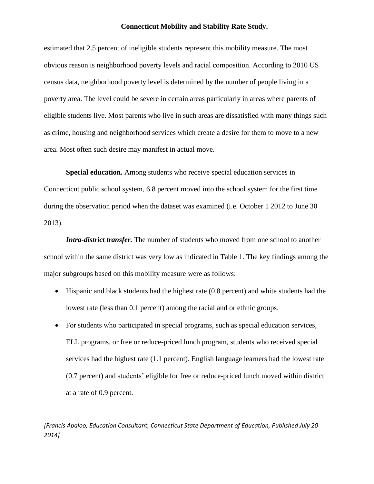estimated that 2.5 percent of ineligible students represent this mobility measure. The most obvious reason is neighborhood poverty levels and racial composition. According to 2010 US census data, neighborhood poverty level is determined by the number of people living in a poverty area. The level could be severe in certain areas particularly in areas where parents of eligible students live. Most parents who live in such areas are dissatisfied with many things such as crime, housing and neighborhood services which create a desire for them to move to a new area. Most often such desire may manifest in actual move.

**Special education.** Among students who receive special education services in Connecticut public school system, 6.8 percent moved into the school system for the first time during the observation period when the dataset was examined (i.e. October 1 2012 to June 30 2013).

*Intra-district transfer.* The number of students who moved from one school to another school within the same district was very low as indicated in Table 1. The key findings among the major subgroups based on this mobility measure were as follows:

- Hispanic and black students had the highest rate (0.8 percent) and white students had the lowest rate (less than 0.1 percent) among the racial and or ethnic groups.
- For students who participated in special programs, such as special education services, ELL programs, or free or reduce-priced lunch program, students who received special services had the highest rate (1.1 percent). English language learners had the lowest rate (0.7 percent) and students' eligible for free or reduce-priced lunch moved within district at a rate of 0.9 percent.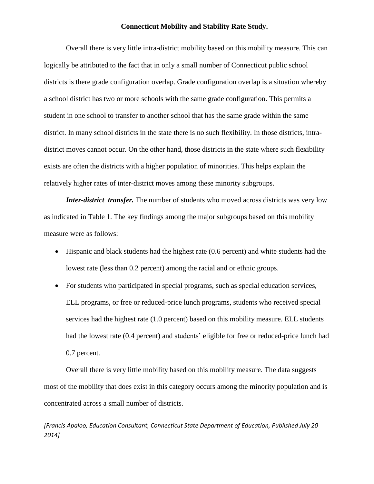Overall there is very little intra-district mobility based on this mobility measure. This can logically be attributed to the fact that in only a small number of Connecticut public school districts is there grade configuration overlap. Grade configuration overlap is a situation whereby a school district has two or more schools with the same grade configuration. This permits a student in one school to transfer to another school that has the same grade within the same district. In many school districts in the state there is no such flexibility. In those districts, intradistrict moves cannot occur. On the other hand, those districts in the state where such flexibility exists are often the districts with a higher population of minorities. This helps explain the relatively higher rates of inter-district moves among these minority subgroups.

*Inter-district transfer.* The number of students who moved across districts was very low as indicated in Table 1. The key findings among the major subgroups based on this mobility measure were as follows:

- Hispanic and black students had the highest rate (0.6 percent) and white students had the lowest rate (less than 0.2 percent) among the racial and or ethnic groups.
- For students who participated in special programs, such as special education services, ELL programs, or free or reduced-price lunch programs, students who received special services had the highest rate (1.0 percent) based on this mobility measure. ELL students had the lowest rate (0.4 percent) and students' eligible for free or reduced-price lunch had 0.7 percent.

Overall there is very little mobility based on this mobility measure. The data suggests most of the mobility that does exist in this category occurs among the minority population and is concentrated across a small number of districts.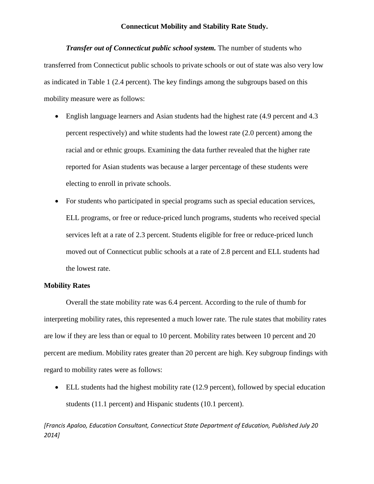*Transfer out of Connecticut public school system.* The number of students who transferred from Connecticut public schools to private schools or out of state was also very low as indicated in Table 1 (2.4 percent). The key findings among the subgroups based on this mobility measure were as follows:

- English language learners and Asian students had the highest rate (4.9 percent and 4.3 percent respectively) and white students had the lowest rate (2.0 percent) among the racial and or ethnic groups. Examining the data further revealed that the higher rate reported for Asian students was because a larger percentage of these students were electing to enroll in private schools.
- For students who participated in special programs such as special education services, ELL programs, or free or reduce-priced lunch programs, students who received special services left at a rate of 2.3 percent. Students eligible for free or reduce-priced lunch moved out of Connecticut public schools at a rate of 2.8 percent and ELL students had the lowest rate.

#### **Mobility Rates**

Overall the state mobility rate was 6.4 percent. According to the rule of thumb for interpreting mobility rates, this represented a much lower rate. The rule states that mobility rates are low if they are less than or equal to 10 percent. Mobility rates between 10 percent and 20 percent are medium. Mobility rates greater than 20 percent are high. Key subgroup findings with regard to mobility rates were as follows:

 ELL students had the highest mobility rate (12.9 percent), followed by special education students (11.1 percent) and Hispanic students (10.1 percent).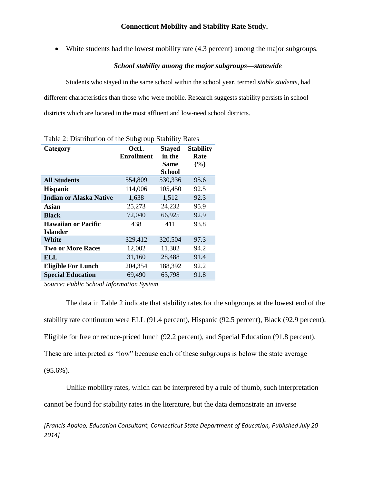White students had the lowest mobility rate (4.3 percent) among the major subgroups.

## *School stability among the major subgroups—statewide*

Students who stayed in the same school within the school year, termed *stable students*, had different characteristics than those who were mobile. Research suggests stability persists in school districts which are located in the most affluent and low-need school districts.

|                                        | ___________                |                                                         |                                 |
|----------------------------------------|----------------------------|---------------------------------------------------------|---------------------------------|
| Category                               | Oct1.<br><b>Enrollment</b> | <b>Stayed</b><br>in the<br><b>Same</b><br><b>School</b> | <b>Stability</b><br>Rate<br>(%) |
| <b>All Students</b>                    | 554,809                    | 530,336                                                 | 95.6                            |
| <b>Hispanic</b>                        | 114,006                    | 105,450                                                 | 92.5                            |
| <b>Indian or Alaska Native</b>         | 1,638                      | 1,512                                                   | 92.3                            |
| Asian                                  | 25,273                     | 24,232                                                  | 95.9                            |
| <b>Black</b>                           | 72,040                     | 66,925                                                  | 92.9                            |
| <b>Hawaiian or Pacific</b><br>Islander | 438                        | 411                                                     | 93.8                            |
| White                                  | 329,412                    | 320,504                                                 | 97.3                            |
| <b>Two or More Races</b>               | 12,002                     | 11,302                                                  | 94.2                            |
| ELL                                    | 31,160                     | 28,488                                                  | 91.4                            |
| <b>Eligible For Lunch</b>              | 204,354                    | 188,392                                                 | 92.2                            |
| <b>Special Education</b>               | 69,490                     | 63,798                                                  | 91.8                            |

Table 2: Distribution of the Subgroup Stability Rates

*Source: Public School Information System*

The data in Table 2 indicate that stability rates for the subgroups at the lowest end of the stability rate continuum were ELL (91.4 percent), Hispanic (92.5 percent), Black (92.9 percent), Eligible for free or reduce-priced lunch (92.2 percent), and Special Education (91.8 percent). These are interpreted as "low" because each of these subgroups is below the state average  $(95.6\%)$ .

Unlike mobility rates, which can be interpreted by a rule of thumb, such interpretation cannot be found for stability rates in the literature, but the data demonstrate an inverse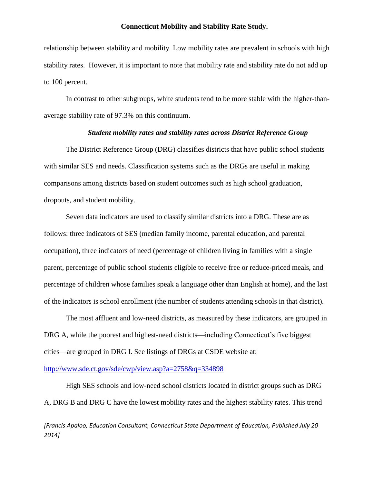relationship between stability and mobility. Low mobility rates are prevalent in schools with high stability rates. However, it is important to note that mobility rate and stability rate do not add up to 100 percent.

In contrast to other subgroups, white students tend to be more stable with the higher-thanaverage stability rate of 97.3% on this continuum.

#### *Student mobility rates and stability rates across District Reference Group*

The District Reference Group (DRG) classifies districts that have public school students with similar SES and needs. Classification systems such as the DRGs are useful in making comparisons among districts based on student outcomes such as high school graduation, dropouts, and student mobility.

Seven data indicators are used to classify similar districts into a DRG. These are as follows: three indicators of SES (median family income, parental education, and parental occupation), three indicators of need (percentage of children living in families with a single parent, percentage of public school students eligible to receive free or reduce-priced meals, and percentage of children whose families speak a language other than English at home), and the last of the indicators is school enrollment (the number of students attending schools in that district).

The most affluent and low-need districts, as measured by these indicators, are grouped in DRG A, while the poorest and highest-need districts—including Connecticut's five biggest cities—are grouped in DRG I. See listings of DRGs at CSDE website at:

<http://www.sde.ct.gov/sde/cwp/view.asp?a=2758&q=334898>

High SES schools and low-need school districts located in district groups such as DRG A, DRG B and DRG C have the lowest mobility rates and the highest stability rates. This trend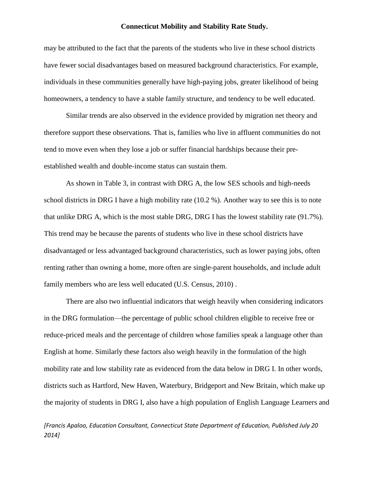may be attributed to the fact that the parents of the students who live in these school districts have fewer social disadvantages based on measured background characteristics. For example, individuals in these communities generally have high-paying jobs, greater likelihood of being homeowners, a tendency to have a stable family structure, and tendency to be well educated.

Similar trends are also observed in the evidence provided by migration net theory and therefore support these observations. That is, families who live in affluent communities do not tend to move even when they lose a job or suffer financial hardships because their preestablished wealth and double-income status can sustain them.

As shown in Table 3, in contrast with DRG A, the low SES schools and high-needs school districts in DRG I have a high mobility rate (10.2 %). Another way to see this is to note that unlike DRG A, which is the most stable DRG, DRG I has the lowest stability rate (91.7%). This trend may be because the parents of students who live in these school districts have disadvantaged or less advantaged background characteristics, such as lower paying jobs, often renting rather than owning a home, more often are single-parent households, and include adult family members who are less well educated (U.S. Census, 2010) .

There are also two influential indicators that weigh heavily when considering indicators in the DRG formulation—the percentage of public school children eligible to receive free or reduce-priced meals and the percentage of children whose families speak a language other than English at home. Similarly these factors also weigh heavily in the formulation of the high mobility rate and low stability rate as evidenced from the data below in DRG I. In other words, districts such as Hartford, New Haven, Waterbury, Bridgeport and New Britain, which make up the majority of students in DRG I, also have a high population of English Language Learners and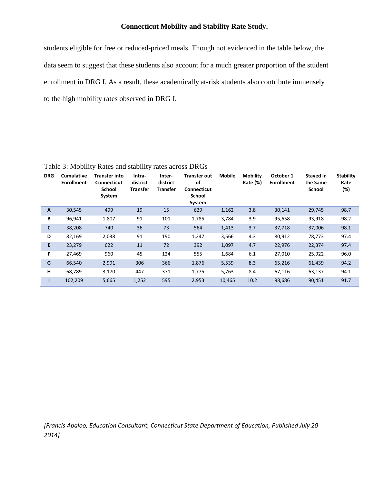students eligible for free or reduced-priced meals. Though not evidenced in the table below, the data seem to suggest that these students also account for a much greater proportion of the student enrollment in DRG I. As a result, these academically at-risk students also contribute immensely to the high mobility rates observed in DRG I.

**DRG Cumulative Enrollment Transfer into Connecticut School System Intradistrict Transfer Interdistrict Transfer Transfer out of Connecticut School System Mobile Mobility Rate (%) October 1 Enrollment Stayed in the Same School Stability Rate (%) A** 30,545 499 19 15 629 1,162 3.8 30,141 29,745 98.7 **B** 96,941 1,807 91 101 1,785 3,784 3.9 95,658 93,918 98.2 **C** 38,208 740 36 73 564 1,413 3.7 37,718 37,006 98.1 **D** 82,169 2,038 91 190 1,247 3,566 4.3 80,912 78,773 97.4 **E** 23,279 622 11 72 392 1,097 4.7 22,976 22,374 97.4 **F** 27,469 960 45 124 555 1,684 6.1 27,010 25,922 96.0 **G** 66,540 2,991 306 366 1,876 5,539 8.3 65,216 61,439 94.2 **H** 68,789 3,170 447 371 1,775 5,763 8.4 67,116 63,137 94.1 **I** 102,209 5,665 1,252 595 2,953 10,465 10.2 98,686 90,451 91.7

Table 3: Mobility Rates and stability rates across DRGs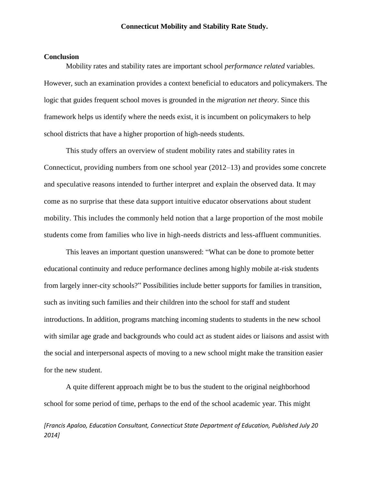#### **Conclusion**

Mobility rates and stability rates are important school *performance related* variables. However, such an examination provides a context beneficial to educators and policymakers. The logic that guides frequent school moves is grounded in the *migration net theory*. Since this framework helps us identify where the needs exist, it is incumbent on policymakers to help school districts that have a higher proportion of high-needs students.

This study offers an overview of student mobility rates and stability rates in Connecticut, providing numbers from one school year (2012–13) and provides some concrete and speculative reasons intended to further interpret and explain the observed data. It may come as no surprise that these data support intuitive educator observations about student mobility. This includes the commonly held notion that a large proportion of the most mobile students come from families who live in high-needs districts and less-affluent communities.

This leaves an important question unanswered: "What can be done to promote better educational continuity and reduce performance declines among highly mobile at-risk students from largely inner-city schools?" Possibilities include better supports for families in transition, such as inviting such families and their children into the school for staff and student introductions. In addition, programs matching incoming students to students in the new school with similar age grade and backgrounds who could act as student aides or liaisons and assist with the social and interpersonal aspects of moving to a new school might make the transition easier for the new student.

A quite different approach might be to bus the student to the original neighborhood school for some period of time, perhaps to the end of the school academic year. This might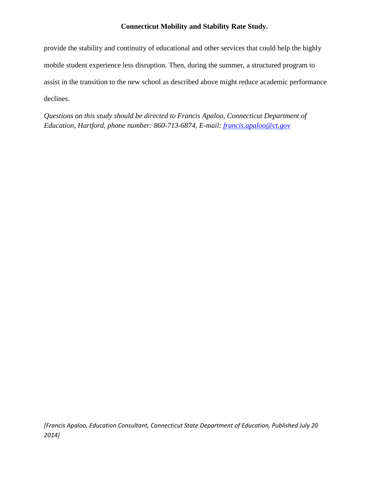provide the stability and continuity of educational and other services that could help the highly mobile student experience less disruption. Then, during the summer, a structured program to assist in the transition to the new school as described above might reduce academic performance declines.

*Questions on this study should be directed to Francis Apaloo, Connecticut Department of Education, Hartford, phone number: 860-713-6874, E-mail:<francis.apaloo@ct.gov>*